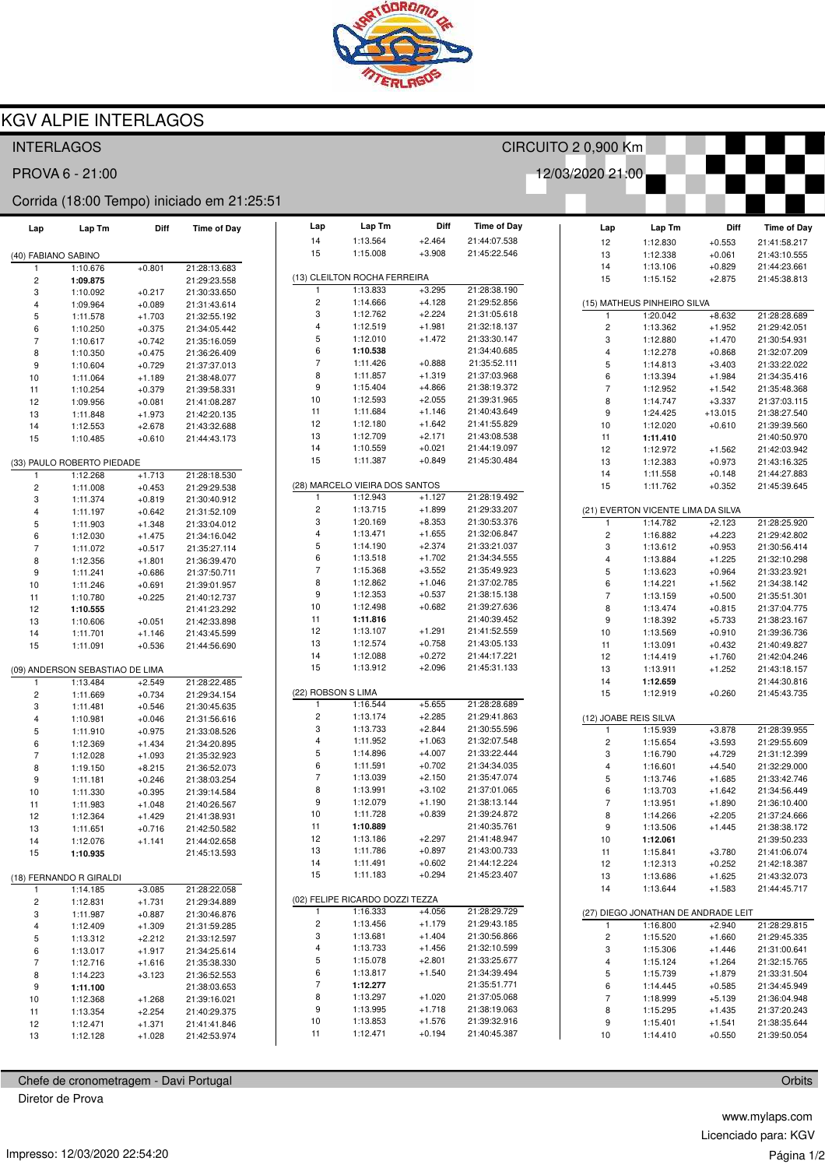

# **KGV ALPIE INTERLAGOS**

## **INTERLAGOS**

PROVA 6 - 21:00

#### Corrida (18:00 Tempo) iniciado em 21:25:51

| Lap                 | Lap Tm                          | Diff                 | <b>Time of Day</b>           | Lap                     | Lap Tm                          | Diff                 | <b>Time of Day</b>           |
|---------------------|---------------------------------|----------------------|------------------------------|-------------------------|---------------------------------|----------------------|------------------------------|
|                     |                                 |                      |                              | 14                      | 1:13.564                        | $+2.464$             | 21:44:07.538                 |
| (40) FABIANO SABINO |                                 |                      |                              | 15                      | 1:15.008                        | $+3.908$             | 21:45:22.546                 |
| 1                   | 1:10.676                        | $+0.801$             | 21:28:13.683                 |                         |                                 |                      |                              |
| 2                   | 1:09.875                        |                      | 21:29:23.558                 |                         | (13) CLEILTON ROCHA FERREIRA    |                      |                              |
| 3                   | 1:10.092                        | $+0.217$             | 21:30:33.650                 | 1                       | 1:13.833                        | $+3.295$             | 21:28:38.190                 |
| 4                   | 1:09.964                        | $+0.089$             | 21:31:43.614                 | $\overline{c}$          | 1:14.666                        | $+4.128$             | 21:29:52.856                 |
| 5                   | 1:11.578                        | $+1.703$             | 21:32:55.192                 | 3                       | 1:12.762                        | $+2.224$             | 21:31:05.618                 |
| 6                   | 1:10.250                        | $+0.375$             | 21:34:05.442                 | 4<br>5                  | 1:12.519<br>1:12.010            | $+1.981$<br>$+1.472$ | 21:32:18.137<br>21:33:30.147 |
| $\overline{7}$      | 1:10.617                        | $+0.742$             | 21:35:16.059                 | 6                       | 1:10.538                        |                      | 21:34:40.685                 |
| 8                   | 1:10.350                        | $+0.475$             | 21:36:26.409                 | $\overline{7}$          | 1:11.426                        | $+0.888$             | 21:35:52.111                 |
| 9                   | 1:10.604                        | $+0.729$             | 21:37:37.013                 | 8                       | 1:11.857                        | $+1.319$             | 21:37:03.968                 |
| 10<br>11            | 1:11.064<br>1:10.254            | $+1.189$<br>$+0.379$ | 21:38:48.077                 | 9                       | 1:15.404                        | $+4.866$             | 21:38:19.372                 |
| 12                  | 1:09.956                        | $+0.081$             | 21:39:58.331<br>21:41:08.287 | 10                      | 1:12.593                        | $+2.055$             | 21:39:31.965                 |
| 13                  | 1:11.848                        | $+1.973$             | 21:42:20.135                 | 11                      | 1:11.684                        | $+1.146$             | 21:40:43.649                 |
| 14                  | 1:12.553                        | $+2.678$             | 21:43:32.688                 | 12                      | 1:12.180                        | $+1.642$             | 21:41:55.829                 |
| 15                  | 1:10.485                        | $+0.610$             | 21:44:43.173                 | 13                      | 1:12.709                        | $+2.171$             | 21:43:08.538                 |
|                     |                                 |                      |                              | 14                      | 1:10.559                        | $+0.021$             | 21:44:19.097                 |
|                     | (33) PAULO ROBERTO PIEDADE      |                      |                              | 15                      | 1:11.387                        | $+0.849$             | 21:45:30.484                 |
| 1                   | 1:12.268                        | $+1.713$             | 21:28:18.530                 |                         |                                 |                      |                              |
| 2                   | 1:11.008                        | $+0.453$             | 21:29:29.538                 |                         | (28) MARCELO VIEIRA DOS SANTOS  |                      |                              |
| 3                   | 1:11.374                        | $+0.819$             | 21:30:40.912                 | 1                       | 1:12.943                        | $+1.127$             | 21:28:19.492                 |
| 4                   | 1:11.197                        | $+0.642$             | 21:31:52.109                 | $\overline{\mathbf{c}}$ | 1:13.715                        | $+1.899$             | 21:29:33.207                 |
| 5                   | 1:11.903                        | $+1.348$             | 21:33:04.012                 | 3                       | 1:20.169                        | $+8.353$             | 21:30:53.376                 |
| 6                   | 1:12.030                        | $+1.475$             | 21:34:16.042                 | $\overline{\mathbf{4}}$ | 1:13.471                        | $+1.655$             | 21:32:06.847                 |
| $\overline{7}$      | 1:11.072                        | $+0.517$             | 21:35:27.114                 | 5                       | 1:14.190                        | $+2.374$             | 21:33:21.037                 |
| 8                   | 1:12.356                        | $+1.801$             | 21:36:39.470                 | 6                       | 1:13.518                        | $+1.702$             | 21:34:34.555                 |
| 9                   | 1:11.241                        | $+0.686$             | 21:37:50.711                 | 7<br>8                  | 1:15.368                        | $+3.552$             | 21:35:49.923<br>21:37:02.785 |
| 10                  | 1:11.246                        | $+0.691$             | 21:39:01.957                 | 9                       | 1:12.862<br>1:12.353            | $+1.046$<br>$+0.537$ | 21:38:15.138                 |
| 11                  | 1:10.780                        | $+0.225$             | 21:40:12.737                 | 10                      | 1:12.498                        | $+0.682$             | 21:39:27.636                 |
| 12                  | 1:10.555                        |                      | 21:41:23.292                 | 11                      | 1:11.816                        |                      | 21:40:39.452                 |
| 13<br>14            | 1:10.606<br>1:11.701            | $+0.051$             | 21:42:33.898<br>21:43:45.599 | 12                      | 1:13.107                        | $+1.291$             | 21:41:52.559                 |
| 15                  | 1:11.091                        | $+1.146$<br>$+0.536$ | 21:44:56.690                 | 13                      | 1:12.574                        | $+0.758$             | 21:43:05.133                 |
|                     |                                 |                      |                              | 14                      | 1:12.088                        | $+0.272$             | 21:44:17.221                 |
|                     | (09) ANDERSON SEBASTIAO DE LIMA |                      |                              | 15                      | 1:13.912                        | $+2.096$             | 21:45:31.133                 |
| 1                   | 1:13.484                        | $+2.549$             | 21:28:22.485                 |                         |                                 |                      |                              |
| 2                   | 1:11.669                        | $+0.734$             | 21:29:34.154                 | (22) ROBSON S LIMA      |                                 |                      |                              |
| 3                   | 1:11.481                        | $+0.546$             | 21:30:45.635                 | 1                       | 1:16.544                        | $+5.655$             | 21:28:28.689                 |
| 4                   | 1:10.981                        | $+0.046$             | 21:31:56.616                 | $\overline{c}$          | 1:13.174                        | $+2.285$             | 21:29:41.863                 |
| 5                   | 1:11.910                        | $+0.975$             | 21:33:08.526                 | 3                       | 1:13.733                        | $+2.844$             | 21:30:55.596                 |
| 6                   | 1:12.369                        | $+1.434$             | 21:34:20.895                 | 4                       | 1:11.952                        | $+1.063$             | 21:32:07.548                 |
| $\overline{7}$      | 1:12.028                        | $+1.093$             | 21:35:32.923                 | 5                       | 1:14.896                        | $+4.007$             | 21:33:22.444                 |
| 8                   | 1:19.150                        | $+8.215$             | 21:36:52.073                 | 6                       | 1:11.591                        | $+0.702$             | 21:34:34.035                 |
| 9                   | 1:11.181                        | $+0.246$             | 21:38:03.254                 | $\overline{7}$          | 1:13.039                        | $+2.150$             | 21:35:47.074                 |
| 10                  | 1:11.330                        | $+0.395$             | 21:39:14.584                 | 8<br>9                  | 1:13.991                        | $+3.102$             | 21:37:01.065<br>21:38:13.144 |
| 11                  | 1:11.983                        | $+1.048$             | 21:40:26.567                 | 10                      | 1:12.079<br>1:11.728            | $+1.190$<br>$+0.839$ | 21:39:24.872                 |
| 12                  | 1:12.364                        | $+1.429$             | 21:41:38.931                 | 11                      | 1:10.889                        |                      | 21:40:35.761                 |
| 13                  | 1:11.651                        | $+0.716$             | 21:42:50.582                 | 12                      | 1:13.186                        | $+2.297$             | 21:41:48.947                 |
| 14                  | 1:12.076                        | $+1.141$             | 21:44:02.658                 | 13                      | 1:11.786                        | $+0.897$             | 21:43:00.733                 |
| 15                  | 1:10.935                        |                      | 21:45:13.593                 | 14                      | 1:11.491                        | $+0.602$             | 21:44:12.224                 |
|                     | (18) FERNANDO R GIRALDI         |                      |                              | 15                      | 1:11.183                        | $+0.294$             | 21:45:23.407                 |
| 1                   | 1:14.185                        | $+3.085$             | 21:28:22.058                 |                         |                                 |                      |                              |
| 2                   | 1:12.831                        | $+1.731$             | 21:29:34.889                 |                         | (02) FELIPE RICARDO DOZZI TEZZA |                      |                              |
| 3                   | 1:11.987                        | $+0.887$             | 21:30:46.876                 | 1                       | 1:16.333                        | $+4.056$             | 21:28:29.729                 |
| 4                   | 1:12.409                        | $+1.309$             | 21:31:59.285                 | 2                       | 1:13.456                        | $+1.179$             | 21:29:43.185                 |
| 5                   | 1:13.312                        | $+2.212$             | 21:33:12.597                 | 3                       | 1:13.681                        | $+1.404$             | 21:30:56.866                 |
| 6                   | 1:13.017                        | $+1.917$             | 21:34:25.614                 | 4                       | 1:13.733                        | $+1.456$             | 21:32:10.599                 |
| 7                   | 1:12.716                        | $+1.616$             | 21:35:38.330                 | 5                       | 1:15.078                        | $+2.801$             | 21:33:25.677                 |
| 8                   | 1:14.223                        | $+3.123$             | 21:36:52.553                 | 6                       | 1:13.817                        | $+1.540$             | 21:34:39.494                 |
| 9                   | 1:11.100                        |                      | 21:38:03.653                 | 7                       | 1:12.277                        |                      | 21:35:51.771                 |
| 10                  | 1:12.368                        | $+1.268$             | 21:39:16.021                 | 8                       | 1:13.297                        | $+1.020$             | 21:37:05.068                 |
| 11                  | 1:13.354                        | $+2.254$             | 21:40:29.375                 | 9<br>10                 | 1:13.995<br>1:13.853            | $+1.718$<br>$+1.576$ | 21:38:19.063<br>21:39:32.916 |
| 12                  | 1:12.471                        | $+1.371$             | 21:41:41.846                 | 11                      | 1:12.471                        | $+0.194$             | 21:40:45.387                 |
| 13                  | 1:12.128                        | $+1.028$             | 21:42:53.974                 |                         |                                 |                      |                              |

Chefe de cronometragem - Davi Portugal

Diretor de Prova

| A FERREIRA |                      |                              | 15          |
|------------|----------------------|------------------------------|-------------|
| 33         | $+3.295$             | 21:28:38.190                 |             |
| 56         | +4.128               | 21:29:52.856                 | (15) MATH   |
| 52         | $+2.224$             | 21:31:05.618                 | 1           |
| 19         | $+1.981$             | 21:32:18.137                 | 2           |
| 10         | +1.472               | 21:33:30.147                 | 3           |
| 38         |                      | 21:34:40.685                 | 4           |
| 26         | $+0.888$             | 21:35:52.111                 | 5           |
| 57         | $+1.319$             | 21:37:03.968                 |             |
| )4         |                      |                              | 6           |
|            | $+4.866$             | 21:38:19.372                 | 7           |
| ЭЗ         | $+2.055$             | 21:39:31.965                 | 8           |
| 34         | $+1.146$             | 21:40:43.649                 | 9           |
| 30         | $+1.642$             | 21:41:55.829                 | 10          |
| )9         | $+2.171$             | 21:43:08.538                 | 11          |
| 59         | $+0.021$             | 21:44:19.097                 | 12          |
| 37         | $+0.849$             | 21:45:30.484                 | 13          |
|            |                      |                              | 14          |
|            | A DOS SANTOS         |                              | 15          |
| 13         | +1.127               | 21:28:19.492                 |             |
| 15         | +1.899               | 21:29:33.207                 | (21) EVER   |
| 59         | $+8.353$             | 21:30:53.376                 | 1           |
| 71         | $+1.655$             | 21:32:06.847                 | 2           |
| 90         | $+2.374$             | 21:33:21.037                 | 3           |
| 18         | $+1.702$             | 21:34:34.555                 | 4           |
| 58         | $+3.552$             | 21:35:49.923                 | 5           |
| 52         | $+1.046$             | 21:37:02.785                 |             |
| 53         | $+0.537$             | 21:38:15.138                 | 6           |
|            | $+0.682$             |                              | 7           |
| 98         |                      | 21:39:27.636                 | 8           |
| 16         |                      | 21:40:39.452                 | 9           |
| )7         | $+1.291$             | 21:41:52.559                 | 10          |
| 74         | $+0.758$             | 21:43:05.133                 | 11          |
| 38         | $+0.272$             | 21:44:17.221                 | 12          |
| 12         | $+2.096$             | 21:45:31.133                 | 13          |
|            |                      |                              | 14          |
|            |                      |                              | 15          |
| 14         | $+5.655$             | 21:28:28.689                 |             |
| 74         | $+2.285$             | 21:29:41.863                 | $(12)$ JOAB |
| 33         | $+2.844$             | 21:30:55.596                 | 1           |
| 52         | $+1.063$             | 21:32:07.548                 | 2           |
| 96         | $+4.007$             | 21:33:22.444                 | 3           |
| 91         | $+0.702$             | 21:34:34.035                 | 4           |
| 39         | $+2.150$             | 21:35:47.074                 | 5           |
| 91         | $+3.102$             | 21:37:01.065                 |             |
| 79         | $+1.190$             | 21:38:13.144                 | 6           |
|            |                      |                              | 7           |
| 28         | $+0.839$             | 21:39:24.872                 | 8           |
| 39         |                      | 21:40:35.761                 | 9           |
| 36         | $+2.297$             | 21:41:48.947                 | 10          |
| 36         | $+0.897$             | 21:43:00.733                 | 11          |
| 91         | $+0.602$             | 21:44:12.224                 | 12          |
| 33         | $+0.294$             | 21:45:23.407                 | 13          |
|            |                      |                              | 14          |
|            | ) DOZZI TEZZA        |                              |             |
| 33         | $+4.056$             | 21:28:29.729                 | (27) DIEG   |
| 56         | $+1.179$             | 21:29:43.185                 | 1           |
| 31         | $+1.404$             | 21:30:56.866                 | 2           |
| 33         | $+1.456$             | 21:32:10.599                 | 3           |
| 78         | $+2.801$             | 21:33:25.677                 | 4           |
| 17         | $+1.540$             | 21:34:39.494                 | 5           |
|            |                      |                              |             |
|            |                      |                              |             |
| 77         |                      | 21:35:51.771                 | 6           |
| 97         | $+1.020$             | 21:37:05.068                 | 7           |
| 95         | $+1.718$             | 21:38:19.063                 | 8           |
| 53<br>71   | $+1.576$<br>$+0.194$ | 21:39:32.916<br>21:40:45.387 | 9<br>10     |

CIRCUITO 2 0,900 Km

12/03/2020 21:00

Lap

Lap Tm

Diff

Time of Day

| 12                                  | 1:12.830 | $+0.553$                                       | 21:41:58.217                 |  |  |
|-------------------------------------|----------|------------------------------------------------|------------------------------|--|--|
| 13                                  | 1:12.338 | $+0.061$                                       | 21:43:10.555                 |  |  |
| 14                                  | 1:13.106 | $+0.829$                                       | 21:44:23.661                 |  |  |
| 15                                  | 1:15.152 | $+2.875$                                       | 21:45:38.813                 |  |  |
|                                     |          |                                                |                              |  |  |
| (15) MATHEUS PINHEIRO SILVA         |          |                                                |                              |  |  |
| 1                                   | 1:20.042 | $+8.632$                                       | 21:28:28.689                 |  |  |
| 2                                   | 1:13.362 | $+1.952$                                       | 21:29:42.051                 |  |  |
| 3                                   | 1:12.880 | $+1.470$                                       | 21:30:54.931                 |  |  |
| 4                                   | 1:12.278 | $+0.868$                                       | 21:32:07.209                 |  |  |
| 5                                   | 1:14.813 | $+3.403$                                       | 21:33:22.022                 |  |  |
| 6                                   | 1:13.394 | $+1.984$                                       | 21:34:35.416                 |  |  |
| 7                                   | 1:12.952 | $+1.542$                                       | 21:35:48.368                 |  |  |
| 8                                   | 1:14.747 | $+3.337$                                       | 21:37:03.115                 |  |  |
| 9                                   | 1:24.425 | $+13.015$                                      | 21:38:27.540                 |  |  |
| 10                                  | 1:12.020 | $+0.610$                                       | 21:39:39.560                 |  |  |
| 11                                  | 1:11.410 |                                                | 21:40:50.970                 |  |  |
| 12                                  | 1:12.972 | +1.562                                         | 21:42:03.942                 |  |  |
| 13                                  | 1:12.383 | $+0.973$                                       | 21:43:16.325                 |  |  |
| 14                                  | 1:11.558 | $+0.148$                                       | 21:44:27.883                 |  |  |
| 15                                  | 1:11.762 | $+0.352$                                       | 21:45:39.645                 |  |  |
|                                     |          |                                                |                              |  |  |
| 1                                   | 1:14.782 | (21) EVERTON VICENTE LIMA DA SILVA<br>$+2.123$ | 21:28:25.920                 |  |  |
| 2                                   | 1:16.882 | $+4.223$                                       |                              |  |  |
|                                     | 1:13.612 |                                                | 21:29:42.802<br>21:30:56.414 |  |  |
| 3                                   | 1:13.884 | $+0.953$                                       |                              |  |  |
| 4                                   |          | $+1.225$                                       | 21:32:10.298                 |  |  |
| 5                                   | 1:13.623 | $+0.964$                                       | 21:33:23.921                 |  |  |
| 6                                   | 1:14.221 | $+1.562$                                       | 21:34:38.142                 |  |  |
| 7                                   | 1:13.159 | $+0.500$                                       | 21:35:51.301                 |  |  |
| 8                                   | 1:13.474 | $+0.815$                                       | 21:37:04.775                 |  |  |
| 9                                   | 1:18.392 | $+5.733$                                       | 21:38:23.167                 |  |  |
| 10                                  | 1:13.569 | $+0.910$                                       | 21:39:36.736                 |  |  |
| 11                                  | 1:13.091 | $+0.432$                                       | 21:40:49.827                 |  |  |
| 12                                  | 1:14.419 | $+1.760$                                       | 21:42:04.246                 |  |  |
| 13                                  | 1:13.911 | $+1.252$                                       | 21:43:18.157                 |  |  |
| 14                                  | 1:12.659 |                                                | 21:44:30.816                 |  |  |
| 15                                  | 1:12.919 | $+0.260$                                       | 21:45:43.735                 |  |  |
| (12) JOABE REIS SILVA               |          |                                                |                              |  |  |
| 1                                   | 1:15.939 | $+3.878$                                       | 21:28:39.955                 |  |  |
| 2                                   | 1:15.654 | $+3.593$                                       | 21:29:55.609                 |  |  |
| 3                                   | 1:16.790 | $+4.729$                                       | 21:31:12.399                 |  |  |
| 4                                   | 1:16.601 | $+4.540$                                       | 21:32:29.000                 |  |  |
| 5                                   | 1:13.746 | $+1.685$                                       | 21:33:42.746                 |  |  |
| 6                                   | 1:13.703 | $+1.642$                                       | 21:34:56.449                 |  |  |
| 7                                   | 1:13.951 | $+1.890$                                       | 21:36:10.400                 |  |  |
| 8                                   | 1:14.266 | $+2.205$                                       | 21:37:24.666                 |  |  |
| 9                                   | 1:13.506 | $+1.445$                                       | 21:38:38.172                 |  |  |
| 10                                  | 1:12.061 |                                                | 21:39:50.233                 |  |  |
| 11                                  | 1:15.841 | $+3.780$                                       | 21:41:06.074                 |  |  |
| 12                                  | 1:12.313 | $+0.252$                                       | 21:42:18.387                 |  |  |
| 13                                  | 1:13.686 | $+1.625$                                       | 21:43:32.073                 |  |  |
| 14                                  | 1:13.644 | $+1.583$                                       | 21:44:45.717                 |  |  |
|                                     |          |                                                |                              |  |  |
| (27) DIEGO JONATHAN DE ANDRADE LEIT |          |                                                |                              |  |  |
| 1                                   | 1:16.800 | $+2.940$                                       | 21:28:29.815                 |  |  |
| 2                                   | 1:15.520 | $+1.660$                                       | 21:29:45.335                 |  |  |
| 3                                   | 1:15.306 | $+1.446$                                       | 21:31:00.641                 |  |  |
| 4                                   | 1:15.124 | $+1.264$                                       | 21:32:15.765                 |  |  |
| 5                                   | 1:15.739 | $+1.879$                                       | 21:33:31.504                 |  |  |
| 6                                   | 1:14.445 | $+0.585$                                       | 21:34:45.949                 |  |  |
| 7                                   | 1:18.999 | $+5.139$                                       | 21:36:04.948                 |  |  |
| 8                                   | 1:15.295 | $+1.435$                                       | 21:37:20.243                 |  |  |
| 9                                   | 1:15.401 | $+1.541$                                       | 21:38:35.644                 |  |  |
| 10                                  | 1:14.410 | $+0.550$                                       | 21:39:50.054                 |  |  |

Orbits